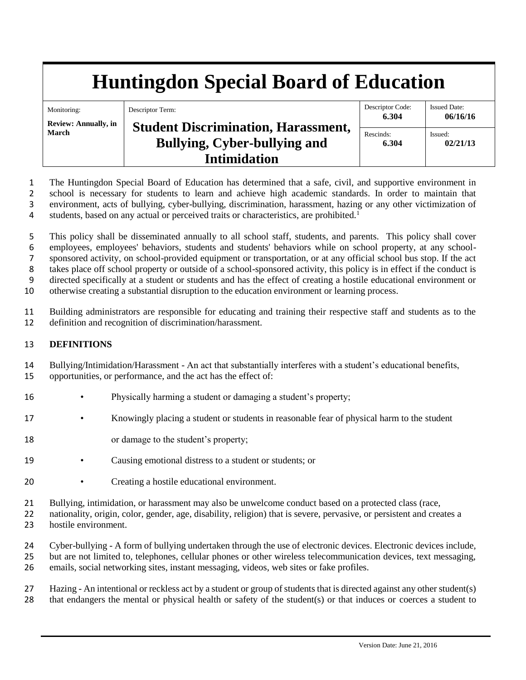# **Huntingdon Special Board of Education**

| Monitoring:                                 | Descriptor Term:                           | Descriptor Code:<br>6.304 | <b>Issued Date:</b><br>06/16/16 |
|---------------------------------------------|--------------------------------------------|---------------------------|---------------------------------|
| <b>Review: Annually, in</b><br><b>March</b> | <b>Student Discrimination, Harassment,</b> |                           |                                 |
|                                             | Bullying, Cyber-bullying and               | Rescinds:<br>6.304        | Issued:<br>02/21/13             |
|                                             | <b>Intimidation</b>                        |                           |                                 |

 The Huntingdon Special Board of Education has determined that a safe, civil, and supportive environment in school is necessary for students to learn and achieve high academic standards. In order to maintain that environment, acts of bullying, cyber-bullying, discrimination, harassment, hazing or any other victimization of 4 students, based on any actual or perceived traits or characteristics, are prohibited.<sup>1</sup>

 This policy shall be disseminated annually to all school staff, students, and parents. This policy shall cover employees, employees' behaviors, students and students' behaviors while on school property, at any school- sponsored activity, on school-provided equipment or transportation, or at any official school bus stop. If the act takes place off school property or outside of a school-sponsored activity, this policy is in effect if the conduct is directed specifically at a student or students and has the effect of creating a hostile educational environment or otherwise creating a substantial disruption to the education environment or learning process.

11 Building administrators are responsible for educating and training their respective staff and students as to the 12 definition and recognition of discrimination/harassment.

# 13 **DEFINITIONS**

14 Bullying/Intimidation/Harassment - An act that substantially interferes with a student's educational benefits,

15 opportunities, or performance, and the act has the effect of:

- 16 Physically harming a student or damaging a student's property;
- 17 Knowingly placing a student or students in reasonable fear of physical harm to the student
- 18 or damage to the student's property;
- 19 Causing emotional distress to a student or students; or
- 20 Creating a hostile educational environment.
- 21 Bullying, intimidation, or harassment may also be unwelcome conduct based on a protected class (race,

22 nationality, origin, color, gender, age, disability, religion) that is severe, pervasive, or persistent and creates a 23 hostile environment.

24 Cyber-bullying - A form of bullying undertaken through the use of electronic devices. Electronic devices include, 25 but are not limited to, telephones, cellular phones or other wireless telecommunication devices, text messaging, 26 emails, social networking sites, instant messaging, videos, web sites or fake profiles.

27 Hazing - An intentional or reckless act by a student or group of students that is directed against any other student(s) 28 that endangers the mental or physical health or safety of the student(s) or that induces or coerces a student to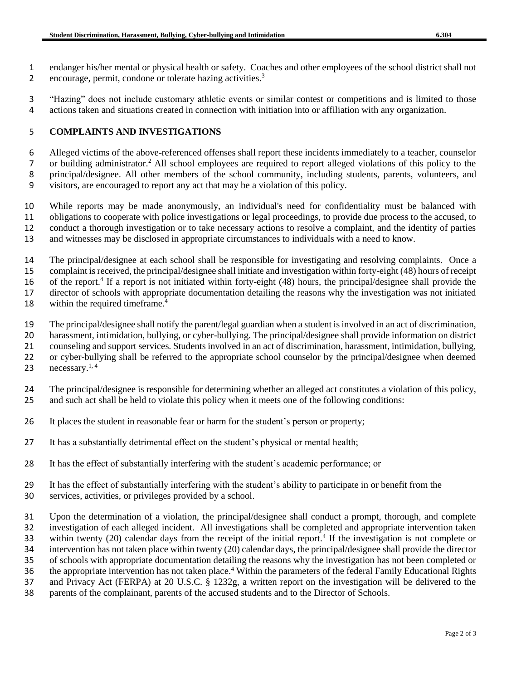endanger his/her mental or physical health or safety. Coaches and other employees of the school district shall not 2 encourage, permit, condone or tolerate hazing activities.<sup>3</sup>

 "Hazing" does not include customary athletic events or similar contest or competitions and is limited to those actions taken and situations created in connection with initiation into or affiliation with any organization.

## **COMPLAINTS AND INVESTIGATIONS**

 Alleged victims of the above-referenced offenses shall report these incidents immediately to a teacher, counselor 7 or building administrator.<sup>2</sup> All school employees are required to report alleged violations of this policy to the principal/designee. All other members of the school community, including students, parents, volunteers, and visitors, are encouraged to report any act that may be a violation of this policy.

 While reports may be made anonymously, an individual's need for confidentiality must be balanced with obligations to cooperate with police investigations or legal proceedings, to provide due process to the accused, to conduct a thorough investigation or to take necessary actions to resolve a complaint, and the identity of parties and witnesses may be disclosed in appropriate circumstances to individuals with a need to know.

 The principal/designee at each school shall be responsible for investigating and resolving complaints. Once a complaint is received, the principal/designee shall initiate and investigation within forty-eight (48) hours of receipt 16 of the report.<sup>4</sup> If a report is not initiated within forty-eight  $(48)$  hours, the principal/designee shall provide the director of schools with appropriate documentation detailing the reasons why the investigation was not initiated 18 within the required timeframe.

The principal/designee shall notify the parent/legal guardian when a student is involved in an act of discrimination,

harassment, intimidation, bullying, or cyber-bullying. The principal/designee shall provide information on district

 counseling and support services. Students involved in an act of discrimination, harassment, intimidation, bullying, 22 or cyber-bullying shall be referred to the appropriate school counselor by the principal/designee when deemed<br>23 necessary.<sup>1,4</sup>

23 necessary. $1, 4$ 

The principal/designee is responsible for determining whether an alleged act constitutes a violation of this policy,

and such act shall be held to violate this policy when it meets one of the following conditions:

- It places the student in reasonable fear or harm for the student's person or property;
- It has a substantially detrimental effect on the student's physical or mental health;
- It has the effect of substantially interfering with the student's academic performance; or
- 29 It has the effect of substantially interfering with the student's ability to participate in or benefit from the services, activities, or privileges provided by a school. services, activities, or privileges provided by a school.

 Upon the determination of a violation, the principal/designee shall conduct a prompt, thorough, and complete investigation of each alleged incident. All investigations shall be completed and appropriate intervention taken 33 within twenty (20) calendar days from the receipt of the initial report.<sup>4</sup> If the investigation is not complete or intervention has not taken place within twenty (20) calendar days, the principal/designee shall provide the director of schools with appropriate documentation detailing the reasons why the investigation has not been completed or 36 the appropriate intervention has not taken place.<sup>4</sup> Within the parameters of the federal Family Educational Rights

and Privacy Act (FERPA) at 20 U.S.C. § 1232g, a written report on the investigation will be delivered to the

parents of the complainant, parents of the accused students and to the Director of Schools.